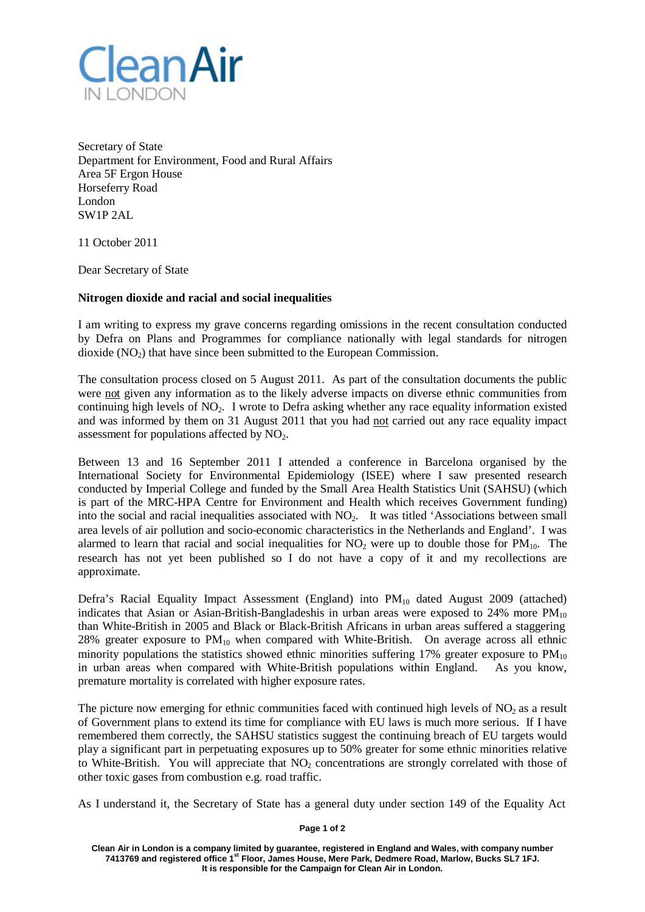

Secretary of State Department for Environment, Food and Rural Affairs Area 5F Ergon House Horseferry Road London SW1P 2AL

11 October 2011

Dear Secretary of State

## **Nitrogen dioxide and racial and social inequalities**

I am writing to express my grave concerns regarding omissions in the recent consultation conducted by Defra on Plans and Programmes for compliance nationally with legal standards for nitrogen dioxide  $(NO<sub>2</sub>)$  that have since been submitted to the European Commission.

The consultation process closed on 5 August 2011. As part of the consultation documents the public were not given any information as to the likely adverse impacts on diverse ethnic communities from continuing high levels of  $NO<sub>2</sub>$ . I wrote to Defra asking whether any race equality information existed and was informed by them on 31 August 2011 that you had not carried out any race equality impact assessment for populations affected by  $NO<sub>2</sub>$ .

Between 13 and 16 September 2011 I attended a conference in Barcelona organised by the International Society for Environmental Epidemiology (ISEE) where I saw presented research conducted by Imperial College and funded by the Small Area Health Statistics Unit (SAHSU) (which is part of the MRC-HPA Centre for Environment and Health which receives Government funding) into the social and racial inequalities associated with NO<sub>2</sub>. It was titled 'Associations between small area levels of air pollution and socio-economic characteristics in the Netherlands and England'. I was alarmed to learn that racial and social inequalities for  $NO<sub>2</sub>$  were up to double those for  $PM<sub>10</sub>$ . The research has not yet been published so I do not have a copy of it and my recollections are approximate.

Defra's Racial Equality Impact Assessment (England) into PM<sub>10</sub> dated August 2009 (attached) indicates that Asian or Asian-British-Bangladeshis in urban areas were exposed to  $24\%$  more PM<sub>10</sub> than White-British in 2005 and Black or Black-British Africans in urban areas suffered a staggering 28% greater exposure to  $PM_{10}$  when compared with White-British. On average across all ethnic minority populations the statistics showed ethnic minorities suffering 17% greater exposure to  $PM_{10}$ in urban areas when compared with White-British populations within England. As you know, premature mortality is correlated with higher exposure rates.

The picture now emerging for ethnic communities faced with continued high levels of  $NO<sub>2</sub>$  as a result of Government plans to extend its time for compliance with EU laws is much more serious. If I have remembered them correctly, the SAHSU statistics suggest the continuing breach of EU targets would play a significant part in perpetuating exposures up to 50% greater for some ethnic minorities relative to White-British. You will appreciate that  $NO<sub>2</sub>$  concentrations are strongly correlated with those of other toxic gases from combustion e.g. road traffic.

As I understand it, the Secretary of State has a general duty under section 149 of the Equality Act

## **Page 1 of 2**

**Clean Air in London is a company limited by guarantee, registered in England and Wales, with company number 7413769 and registered office 1st Floor, James House, Mere Park, Dedmere Road, Marlow, Bucks SL7 1FJ. It is responsible for the Campaign for Clean Air in London.**